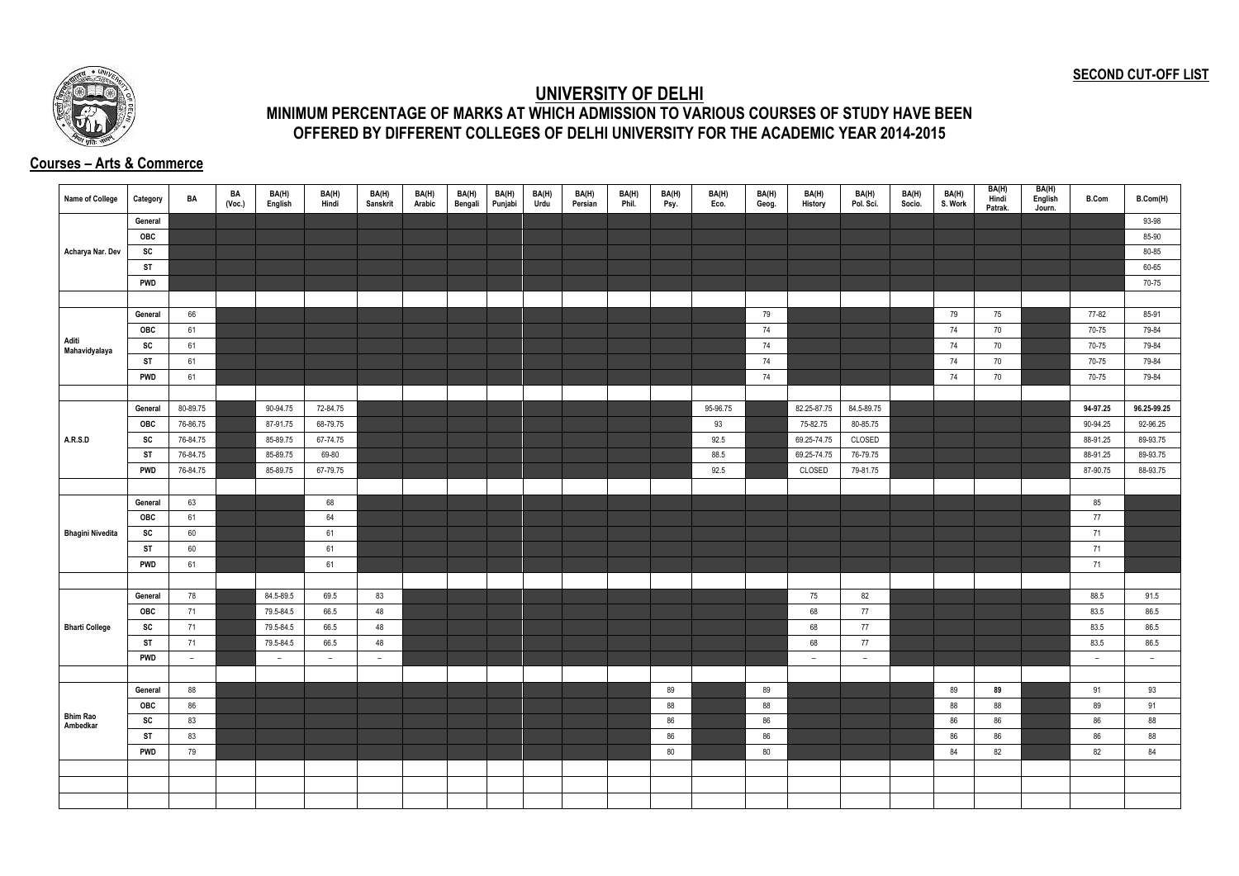## **SECOND CUT-OFF LIST**



## **UNIVERSITY OF DELHI MINIMUM PERCENTAGE OF MARKS AT WHICH ADMISSION TO VARIOUS COURSES OF STUDY HAVE BEEN OFFERED BY DIFFERENT COLLEGES OF DELHI UNIVERSITY FOR THE ACADEMIC YEAR 2014-2015**

## **Courses – Arts & Commerce**

| <b>Name of College</b>      | Category   | BA       | BA<br>(Vec.) | BA(H)<br>English | BA(H)<br>Hindi           | BA(H)<br><b>Sanskrit</b> | BA(H)<br>Arabic | BA(H)<br>Bengali | BA(H)<br>Punjabi | BA(H)<br>Urdu | BA(H)<br>Persian | BA(H)<br>Phil. | BA(H)<br>Psy. | BA(H)<br>Eco. | BA(H)<br>Geog. | BA(H)<br>History         | BA(H)<br>Pol. Sci.       | BA(H)<br>Socio. | BA(H)<br>S. Work | BA(H)<br>Hindi<br>Patrak. | BA(H)<br>English<br>Journ. | <b>B.Com</b> | B.Com(H)    |
|-----------------------------|------------|----------|--------------|------------------|--------------------------|--------------------------|-----------------|------------------|------------------|---------------|------------------|----------------|---------------|---------------|----------------|--------------------------|--------------------------|-----------------|------------------|---------------------------|----------------------------|--------------|-------------|
|                             | General    |          |              |                  |                          |                          |                 |                  |                  |               |                  |                |               |               |                |                          |                          |                 |                  |                           |                            |              | 93-98       |
|                             | OBC        |          |              |                  |                          |                          |                 |                  |                  |               |                  |                |               |               |                |                          |                          |                 |                  |                           |                            |              | 85-90       |
| Acharya Nar. Dev            | SC         |          |              |                  |                          |                          |                 |                  |                  |               |                  |                |               |               |                |                          |                          |                 |                  |                           |                            |              | 80-85       |
|                             | <b>ST</b>  |          |              |                  |                          |                          |                 |                  |                  |               |                  |                |               |               |                |                          |                          |                 |                  |                           |                            |              | 60-65       |
|                             | <b>PWD</b> |          |              |                  |                          |                          |                 |                  |                  |               |                  |                |               |               |                |                          |                          |                 |                  |                           |                            |              | 70-75       |
|                             |            |          |              |                  |                          |                          |                 |                  |                  |               |                  |                |               |               |                |                          |                          |                 |                  |                           |                            |              |             |
|                             | General    | 66       |              |                  |                          |                          |                 |                  |                  |               |                  |                |               |               | 79             |                          |                          |                 | 79               | 75                        |                            | 77-82        | 85-91       |
|                             | OBC        | 61       |              |                  |                          |                          |                 |                  |                  |               |                  |                |               |               | 74             |                          |                          |                 | 74               | 70                        |                            | 70-75        | 79-84       |
| Aditi<br>Mahavidyalaya      | SC         | 61       |              |                  |                          |                          |                 |                  |                  |               |                  |                |               |               | 74             |                          |                          |                 | 74               | 70                        |                            | 70-75        | 79-84       |
|                             | ST         | 61       |              |                  |                          |                          |                 |                  |                  |               |                  |                |               |               | 74             |                          |                          |                 | 74               | 70                        |                            | 70-75        | 79-84       |
|                             | <b>PWD</b> | 61       |              |                  |                          |                          |                 |                  |                  |               |                  |                |               |               | 74             |                          |                          |                 | 74               | 70                        |                            | 70-75        | 79-84       |
|                             |            |          |              |                  |                          |                          |                 |                  |                  |               |                  |                |               |               |                |                          |                          |                 |                  |                           |                            |              |             |
|                             | General    | 80-89.75 |              | 90-94.75         | 72-84.75                 |                          |                 |                  |                  |               |                  |                |               | 95-96.75      |                | 82.25-87.75              | 84.5-89.75               |                 |                  |                           |                            | 94-97.25     | 96.25-99.25 |
|                             | <b>OBC</b> | 76-86.75 |              | 87-91.75         | 68-79.75                 |                          |                 |                  |                  |               |                  |                |               | 93            |                | 75-82.75                 | 80-85.75                 |                 |                  |                           |                            | 90-94.25     | 92-96.25    |
| <b>A.R.S.D</b>              | SC         | 76-84.75 |              | 85-89.75         | 67-74.75                 |                          |                 |                  |                  |               |                  |                |               | 92.5          |                | 69.25-74.75              | CLOSED                   |                 |                  |                           |                            | 88-91.25     | 89-93.75    |
|                             | <b>ST</b>  | 76-84.75 |              | 85-89.75         | 69-80                    |                          |                 |                  |                  |               |                  |                |               | 88.5          |                | 69.25-74.75              | 76-79.75                 |                 |                  |                           |                            | 88-91.25     | 89-93.75    |
|                             | <b>PWD</b> | 76-84.75 |              | 85-89.75         | 67-79.75                 |                          |                 |                  |                  |               |                  |                |               | 92.5          |                | CLOSED                   | 79-81.75                 |                 |                  |                           |                            | 87-90.75     | 88-93.75    |
|                             |            |          |              |                  |                          |                          |                 |                  |                  |               |                  |                |               |               |                |                          |                          |                 |                  |                           |                            |              |             |
|                             | General    | 63       |              |                  | 68                       |                          |                 |                  |                  |               |                  |                |               |               |                |                          |                          |                 |                  |                           |                            | 85           |             |
|                             | OBC        | 61       |              |                  | 64                       |                          |                 |                  |                  |               |                  |                |               |               |                |                          |                          |                 |                  |                           |                            | 77           |             |
| <b>Bhagini Nivedita</b>     | SC         | 60       |              |                  | 61                       |                          |                 |                  |                  |               |                  |                |               |               |                |                          |                          |                 |                  |                           |                            | 71           |             |
|                             | <b>ST</b>  | 60       |              |                  | 61                       |                          |                 |                  |                  |               |                  |                |               |               |                |                          |                          |                 |                  |                           |                            | 71           |             |
|                             | <b>PWD</b> | 61       |              |                  | 61                       |                          |                 |                  |                  |               |                  |                |               |               |                |                          |                          |                 |                  |                           |                            | 71           |             |
|                             |            |          |              |                  |                          |                          |                 |                  |                  |               |                  |                |               |               |                |                          |                          |                 |                  |                           |                            |              |             |
|                             | General    | 78       |              | 84.5-89.5        | 69.5                     | 83                       |                 |                  |                  |               |                  |                |               |               |                | 75                       | 82                       |                 |                  |                           |                            | 88.5         | 91.5        |
|                             | <b>OBC</b> | 71       |              | 79.5-84.5        | 66.5                     | 48                       |                 |                  |                  |               |                  |                |               |               |                | 68                       | 77                       |                 |                  |                           |                            | 83.5         | 86.5        |
| <b>Bharti College</b>       | SC         | 71       |              | 79.5-84.5        | 66.5                     | 48                       |                 |                  |                  |               |                  |                |               |               |                | 68                       | 77                       |                 |                  |                           |                            | 83.5         | 86.5        |
|                             | <b>ST</b>  | 71       |              | 79.5-84.5        | 66.5                     | 48                       |                 |                  |                  |               |                  |                |               |               |                | 68                       | 77                       |                 |                  |                           |                            | 83.5         | 86.5        |
|                             | <b>PWD</b> | $-$      |              | $ \,$            | $\overline{\phantom{0}}$ | $\overline{\phantom{a}}$ |                 |                  |                  |               |                  |                |               |               |                | $\overline{\phantom{a}}$ | $\overline{\phantom{0}}$ |                 |                  |                           |                            | $ \,$        | $-$         |
|                             |            |          |              |                  |                          |                          |                 |                  |                  |               |                  |                |               |               |                |                          |                          |                 |                  |                           |                            |              |             |
|                             | General    | 88       |              |                  |                          |                          |                 |                  |                  |               |                  |                | 89            |               | 89             |                          |                          |                 | 89               | 89                        |                            | 91           | 93          |
|                             | OBC        | 86       |              |                  |                          |                          |                 |                  |                  |               |                  |                | 88            |               | 88             |                          |                          |                 | 88               | 88                        |                            | 89           | 91          |
| <b>Bhim Rao</b><br>Ambedkar | SC         | 83       |              |                  |                          |                          |                 |                  |                  |               |                  |                | 86            |               | 86             |                          |                          |                 | 86               | 86                        |                            | 86           | 88          |
|                             | <b>ST</b>  | 83       |              |                  |                          |                          |                 |                  |                  |               |                  |                | 86            |               | 86             |                          |                          |                 | 86               | 86                        |                            | 86           | 88          |
|                             | <b>PWD</b> | 79       |              |                  |                          |                          |                 |                  |                  |               |                  |                | 80            |               | 80             |                          |                          |                 | 84               | 82                        |                            | 82           | 84          |
|                             |            |          |              |                  |                          |                          |                 |                  |                  |               |                  |                |               |               |                |                          |                          |                 |                  |                           |                            |              |             |
|                             |            |          |              |                  |                          |                          |                 |                  |                  |               |                  |                |               |               |                |                          |                          |                 |                  |                           |                            |              |             |
|                             |            |          |              |                  |                          |                          |                 |                  |                  |               |                  |                |               |               |                |                          |                          |                 |                  |                           |                            |              |             |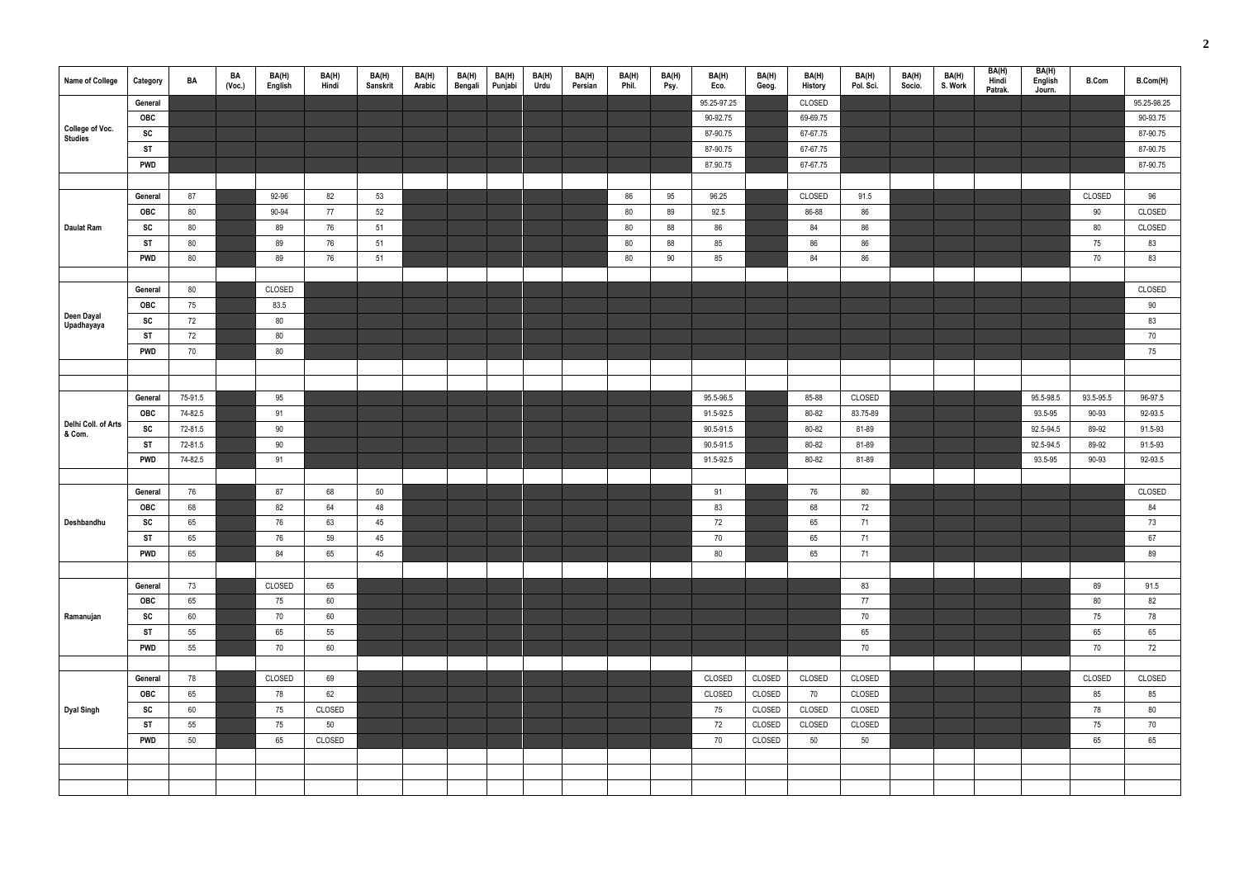| <b>Name of College</b>            | Category   | BA      | BA<br>(Voc.) | BA(H)<br>English | BA(H)<br>Hindi | BA(H)<br>Sanskrit | BA(H)<br>Arabic | BA(H)<br>Bengali | BA(H)<br>Punjabi | BA(H)<br>Urdu | BA(H)<br>Persian | BA(H)<br>Phil. | BA(H)<br>Psy. | BA(H)<br>Eco. | BA(H)<br>Geog. | BA(H)<br>History | BA(H)<br>Pol. Sci. | BA(H)<br>Socio. | BA(H)<br>S. Work | BA(H)<br>Hindi<br>Patrak. | BA(H)<br>English<br>Journ. | <b>B.Com</b> | B.Com(H)    |
|-----------------------------------|------------|---------|--------------|------------------|----------------|-------------------|-----------------|------------------|------------------|---------------|------------------|----------------|---------------|---------------|----------------|------------------|--------------------|-----------------|------------------|---------------------------|----------------------------|--------------|-------------|
|                                   | General    |         |              |                  |                |                   |                 |                  |                  |               |                  |                |               | 95.25-97.25   |                | CLOSED           |                    |                 |                  |                           |                            |              | 95.25-98.25 |
|                                   | OBC        |         |              |                  |                |                   |                 |                  |                  |               |                  |                |               | 90-92.75      |                | 69-69.75         |                    |                 |                  |                           |                            |              | 90-93.75    |
| <b>College of Voc.</b><br>Studies | SC         |         |              |                  |                |                   |                 |                  |                  |               |                  |                |               | 87-90.75      |                | 67-67.75         |                    |                 |                  |                           |                            |              | 87-90.75    |
|                                   | <b>ST</b>  |         |              |                  |                |                   |                 |                  |                  |               |                  |                |               | 87-90.75      |                | 67-67.75         |                    |                 |                  |                           |                            |              | 87-90.75    |
|                                   | <b>PWD</b> |         |              |                  |                |                   |                 |                  |                  |               |                  |                |               | 87.90.75      |                | 67-67.75         |                    |                 |                  |                           |                            |              | 87-90.75    |
|                                   |            |         |              |                  |                |                   |                 |                  |                  |               |                  |                |               |               |                |                  |                    |                 |                  |                           |                            |              |             |
|                                   | General    | 87      |              | 92-96            | 82             | 53                |                 |                  |                  |               |                  | 86             | 95            | 96.25         |                | CLOSED           | 91.5               |                 |                  |                           |                            | CLOSED       | 96          |
|                                   | OBC        | 80      |              | 90-94            | 77             | 52                |                 |                  |                  |               |                  | 80             | 89            | 92.5          |                | 86-88            | 86                 |                 |                  |                           |                            | 90           | CLOSED      |
| <b>Daulat Ram</b>                 | SC         | 80      |              | 89               | 76             | 51                |                 |                  |                  |               |                  | 80             | 88            | 86            |                | 84               | 86                 |                 |                  |                           |                            | 80           | CLOSED      |
|                                   | <b>ST</b>  | 80      |              | 89               | 76             | 51                |                 |                  |                  |               |                  | 80             | 88            | 85            |                | 86               | 86                 |                 |                  |                           |                            | 75           | 83          |
|                                   | <b>PWD</b> | 80      |              | 89               | 76             | 51                |                 |                  |                  |               |                  | 80             | 90            | 85            |                | 84               | 86                 |                 |                  |                           |                            | 70           | 83          |
|                                   |            |         |              |                  |                |                   |                 |                  |                  |               |                  |                |               |               |                |                  |                    |                 |                  |                           |                            |              |             |
|                                   | General    | 80      |              | CLOSED           |                |                   |                 |                  |                  |               |                  |                |               |               |                |                  |                    |                 |                  |                           |                            |              | CLOSED      |
|                                   | OBC        | 75      |              | 83.5             |                |                   |                 |                  |                  |               |                  |                |               |               |                |                  |                    |                 |                  |                           |                            |              | 90          |
| Deen Dayal<br>Upadhayaya          | SC         | 72      |              | 80               |                |                   |                 |                  |                  |               |                  |                |               |               |                |                  |                    |                 |                  |                           |                            |              | 83          |
|                                   | <b>ST</b>  | 72      |              | 80               |                |                   |                 |                  |                  |               |                  |                |               |               |                |                  |                    |                 |                  |                           |                            |              | 70          |
|                                   | <b>PWD</b> | 70      |              | 80               |                |                   |                 |                  |                  |               |                  |                |               |               |                |                  |                    |                 |                  |                           |                            |              | 75          |
|                                   |            |         |              |                  |                |                   |                 |                  |                  |               |                  |                |               |               |                |                  |                    |                 |                  |                           |                            |              |             |
|                                   |            |         |              |                  |                |                   |                 |                  |                  |               |                  |                |               |               |                |                  |                    |                 |                  |                           |                            |              |             |
|                                   | General    | 75-91.5 |              | 95               |                |                   |                 |                  |                  |               |                  |                |               | 95.5-96.5     |                | 85-88            | CLOSED             |                 |                  |                           | 95.5-98.5                  | 93.5-95.5    | 96-97.5     |
|                                   | <b>OBC</b> | 74-82.5 |              | 91               |                |                   |                 |                  |                  |               |                  |                |               | 91.5-92.5     |                | 80-82            | 83.75-89           |                 |                  |                           | 93.5-95                    | 90-93        | 92-93.5     |
| Delhi Coll. of Arts<br>& Com.     | SC         | 72-81.5 |              | 90               |                |                   |                 |                  |                  |               |                  |                |               | 90.5-91.5     |                | 80-82            | 81-89              |                 |                  |                           | 92.5-94.5                  | 89-92        | 91.5-93     |
|                                   | <b>ST</b>  | 72-81.5 |              | 90               |                |                   |                 |                  |                  |               |                  |                |               | 90.5-91.5     |                | 80-82            | 81-89              |                 |                  |                           | 92.5-94.5                  | 89-92        | 91.5-93     |
|                                   | <b>PWD</b> | 74-82.5 |              | 91               |                |                   |                 |                  |                  |               |                  |                |               | 91.5-92.5     |                | 80-82            | 81-89              |                 |                  |                           | 93.5-95                    | 90-93        | 92-93.5     |
|                                   |            |         |              |                  |                |                   |                 |                  |                  |               |                  |                |               |               |                |                  |                    |                 |                  |                           |                            |              |             |
|                                   | General    | 76      |              | 87               | 68             | 50                |                 |                  |                  |               |                  |                |               | 91            |                | 76               | 80                 |                 |                  |                           |                            |              | CLOSED      |
|                                   | <b>OBC</b> | 68      |              | 82               | 64             | 48                |                 |                  |                  |               |                  |                |               | 83            |                | 68               | 72                 |                 |                  |                           |                            |              | 84          |
| Deshbandhu                        | SC         | 65      |              | 76               | 63             | 45                |                 |                  |                  |               |                  |                |               | 72            |                | 65               | 71                 |                 |                  |                           |                            |              | 73          |
|                                   | <b>ST</b>  | 65      |              | 76               | 59             | 45                |                 |                  |                  |               |                  |                |               | 70            |                | 65               | 71                 |                 |                  |                           |                            |              | 67          |
|                                   | <b>PWD</b> | 65      |              | 84               | 65             | 45                |                 |                  |                  |               |                  |                |               | 80            |                | 65               | 71                 |                 |                  |                           |                            |              | 89          |
|                                   |            |         |              |                  |                |                   |                 |                  |                  |               |                  |                |               |               |                |                  |                    |                 |                  |                           |                            |              |             |
|                                   | General    | 73      |              | CLOSED           | 65             |                   |                 |                  |                  |               |                  |                |               |               |                |                  | 83                 |                 |                  |                           |                            | 89           | 91.5        |
|                                   | OBC        | 65      |              | 75               | 60             |                   |                 |                  |                  |               |                  |                |               |               |                |                  | 77                 |                 |                  |                           |                            | 80           | 82          |
| Ramanujan                         | SC         | 60      |              | 70               | 60             |                   |                 |                  |                  |               |                  |                |               |               |                |                  | 70                 |                 |                  |                           |                            | 75           | 78          |
|                                   | <b>ST</b>  | 55      |              | 65               | 55             |                   |                 |                  |                  |               |                  |                |               |               |                |                  | 65                 |                 |                  |                           |                            | 65           | 65          |
|                                   | <b>PWD</b> | 55      |              | 70               | 60             |                   |                 |                  |                  |               |                  |                |               |               |                |                  | 70                 |                 |                  |                           |                            | 70           | 72          |
|                                   |            |         |              |                  |                |                   |                 |                  |                  |               |                  |                |               |               |                |                  |                    |                 |                  |                           |                            |              |             |
|                                   | General    | 78      |              | CLOSED           | 69             |                   |                 |                  |                  |               |                  |                |               | CLOSED        | CLOSED         | CLOSED           | CLOSED             |                 |                  |                           |                            | CLOSED       | CLOSED      |
|                                   | OBC        | 65      |              | 78               | 62             |                   |                 |                  |                  |               |                  |                |               | CLOSED        | CLOSED         | 70               | CLOSED             |                 |                  |                           |                            | 85           | 85          |
| <b>Dyal Singh</b>                 | SC         | 60      |              | 75               | CLOSED         |                   |                 |                  |                  |               |                  |                |               | 75            | CLOSED         | CLOSED           | CLOSED             |                 |                  |                           |                            | 78           | 80          |
|                                   | <b>ST</b>  | 55      |              | 75               | 50             |                   |                 |                  |                  |               |                  |                |               | 72            | CLOSED         | CLOSED           | CLOSED             |                 |                  |                           |                            | 75           | 70          |
|                                   | <b>PWD</b> | 50      |              | 65               | CLOSED         |                   |                 |                  |                  |               |                  |                |               | 70            | CLOSED         | 50               | 50                 |                 |                  |                           |                            | 65           | 65          |
|                                   |            |         |              |                  |                |                   |                 |                  |                  |               |                  |                |               |               |                |                  |                    |                 |                  |                           |                            |              |             |
|                                   |            |         |              |                  |                |                   |                 |                  |                  |               |                  |                |               |               |                |                  |                    |                 |                  |                           |                            |              |             |
|                                   |            |         |              |                  |                |                   |                 |                  |                  |               |                  |                |               |               |                |                  |                    |                 |                  |                           |                            |              |             |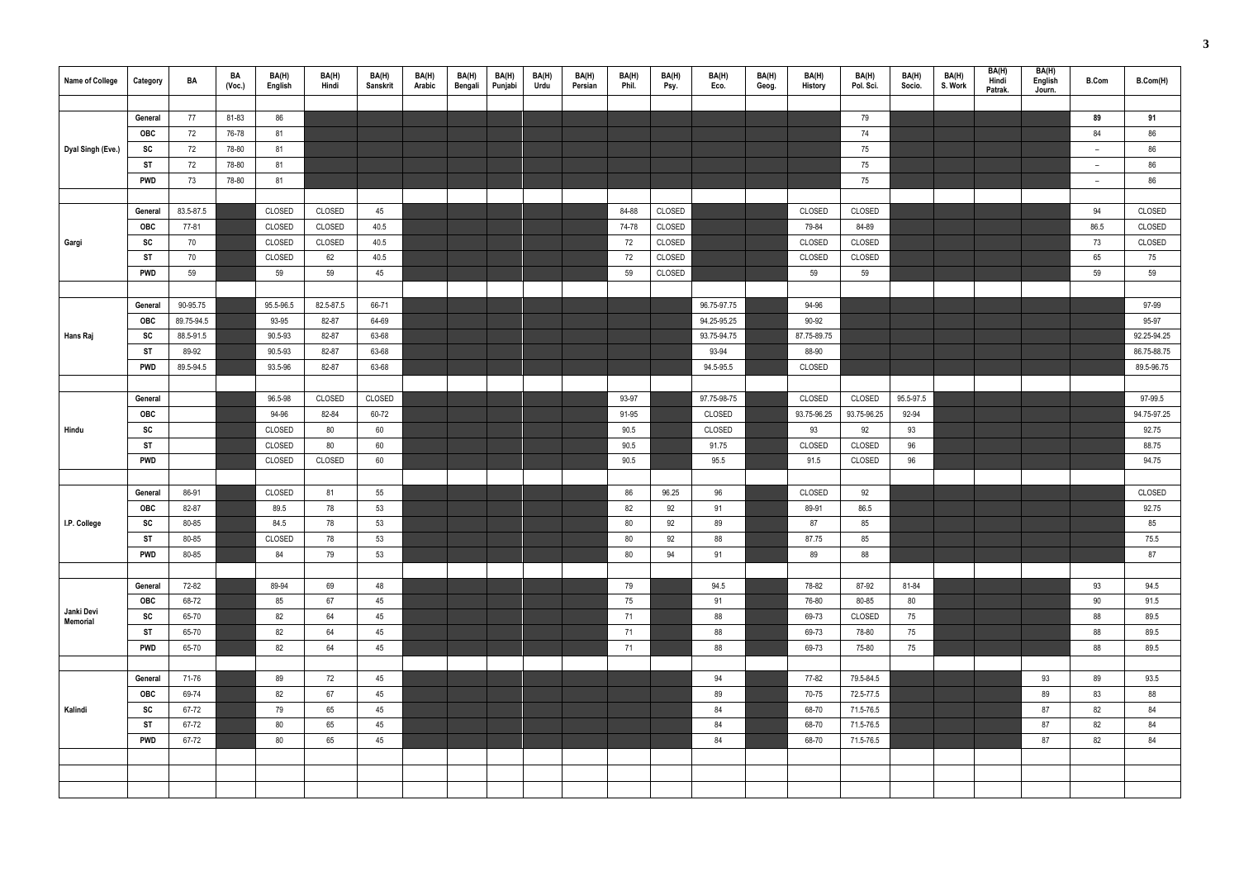| Name of College   | Category   | BA         | BA<br>(Voc.) | BA(H)<br>English | BA(H)<br>Hindi | BA(H)<br><b>Sanskrit</b> | BA(H)<br>Arabic | BA(H)<br>Bengali | BA(H)<br>Punjabi | BA(H)<br>Urdu | BA(H)<br>Persian | BA(H)<br>Phil. | BA(H)<br>Psy. | BA(H)<br>Eco. | BA(H)<br>Geog. | BA(H)<br><b>History</b> | BA(H)<br>Pol. Sci. | BA(H)<br>Socio. | BA(H)<br>S. Work | BA(H)<br>Hindi<br>Patrak. | BA(H)<br>English<br>Journ. | <b>B.Com</b>             | B.Com(H)    |
|-------------------|------------|------------|--------------|------------------|----------------|--------------------------|-----------------|------------------|------------------|---------------|------------------|----------------|---------------|---------------|----------------|-------------------------|--------------------|-----------------|------------------|---------------------------|----------------------------|--------------------------|-------------|
|                   |            |            |              |                  |                |                          |                 |                  |                  |               |                  |                |               |               |                |                         |                    |                 |                  |                           |                            |                          |             |
|                   | General    | 77         | 81-83        | 86               |                |                          |                 |                  |                  |               |                  |                |               |               |                |                         | 79                 |                 |                  |                           |                            | 89                       | 91          |
|                   | <b>OBC</b> | 72         | 76-78        | 81               |                |                          |                 |                  |                  |               |                  |                |               |               |                |                         | 74                 |                 |                  |                           |                            | 84                       | 86          |
| Dyal Singh (Eve.) | SC         | 72         | 78-80        | 81               |                |                          |                 |                  |                  |               |                  |                |               |               |                |                         | 75                 |                 |                  |                           |                            | $\overline{\phantom{m}}$ | 86          |
|                   | <b>ST</b>  | 72         | 78-80        | 81               |                |                          |                 |                  |                  |               |                  |                |               |               |                |                         | 75                 |                 |                  |                           |                            | $\overline{\phantom{m}}$ | 86          |
|                   | <b>PWD</b> | 73         | 78-80        | 81               |                |                          |                 |                  |                  |               |                  |                |               |               |                |                         | 75                 |                 |                  |                           |                            | $\overline{\phantom{0}}$ | 86          |
|                   |            |            |              |                  |                |                          |                 |                  |                  |               |                  |                |               |               |                |                         |                    |                 |                  |                           |                            |                          |             |
|                   | General    | 83.5-87.5  |              | CLOSED           | CLOSED         | 45                       |                 |                  |                  |               |                  | 84-88          | CLOSED        |               |                | CLOSED                  | CLOSED             |                 |                  |                           |                            | 94                       | CLOSED      |
|                   | <b>OBC</b> | 77-81      |              | CLOSED           | CLOSED         | 40.5                     |                 |                  |                  |               |                  | 74-78          | CLOSED        |               |                | 79-84                   | 84-89              |                 |                  |                           |                            | 86.5                     | CLOSED      |
| Gargi             | SC         | 70         |              | CLOSED           | CLOSED         | 40.5                     |                 |                  |                  |               |                  | 72             | CLOSED        |               |                | CLOSED                  | CLOSED             |                 |                  |                           |                            | 73                       | CLOSED      |
|                   | <b>ST</b>  | 70         |              | CLOSED           | 62             | 40.5                     |                 |                  |                  |               |                  | 72             | CLOSED        |               |                | CLOSED                  | CLOSED             |                 |                  |                           |                            | 65                       | 75          |
|                   | <b>PWD</b> | 59         |              | 59               | 59             | 45                       |                 |                  |                  |               |                  | 59             | CLOSED        |               |                | 59                      | 59                 |                 |                  |                           |                            | 59                       | 59          |
|                   |            |            |              |                  |                |                          |                 |                  |                  |               |                  |                |               |               |                |                         |                    |                 |                  |                           |                            |                          |             |
|                   | General    | 90-95.75   |              | 95.5-96.5        | 82.5-87.5      | 66-71                    |                 |                  |                  |               |                  |                |               | 96.75-97.75   |                | 94-96                   |                    |                 |                  |                           |                            |                          | 97-99       |
|                   | OBC        | 89.75-94.5 |              | 93-95            | 82-87          | 64-69                    |                 |                  |                  |               |                  |                |               | 94.25-95.25   |                | 90-92                   |                    |                 |                  |                           |                            |                          | 95-97       |
| Hans Raj          | SC         | 88.5-91.5  |              | 90.5-93          | 82-87          | 63-68                    |                 |                  |                  |               |                  |                |               | 93.75-94.75   |                | 87.75-89.75             |                    |                 |                  |                           |                            |                          | 92.25-94.25 |
|                   | <b>ST</b>  | 89-92      |              | 90.5-93          | 82-87          | 63-68                    |                 |                  |                  |               |                  |                |               | 93-94         |                | 88-90                   |                    |                 |                  |                           |                            |                          | 86.75-88.75 |
|                   | <b>PWD</b> | 89.5-94.5  |              | 93.5-96          | 82-87          | 63-68                    |                 |                  |                  |               |                  |                |               | 94.5-95.5     |                | CLOSED                  |                    |                 |                  |                           |                            |                          | 89.5-96.75  |
|                   |            |            |              |                  |                |                          |                 |                  |                  |               |                  |                |               |               |                |                         |                    |                 |                  |                           |                            |                          |             |
|                   | General    |            |              | 96.5-98          | CLOSED         | CLOSED                   |                 |                  |                  |               |                  | 93-97          |               | 97.75-98-75   |                | CLOSED                  | CLOSED             | 95.5-97.5       |                  |                           |                            |                          | 97-99.5     |
|                   | OBC        |            |              | 94-96            | 82-84          | 60-72                    |                 |                  |                  |               |                  | 91-95          |               | CLOSED        |                | 93.75-96.25             | 93.75-96.25        | 92-94           |                  |                           |                            |                          | 94.75-97.25 |
| Hindu             | SC         |            |              | CLOSED           | 80             | 60                       |                 |                  |                  |               |                  | 90.5           |               | CLOSED        |                | 93                      | 92                 | 93              |                  |                           |                            |                          | 92.75       |
|                   | <b>ST</b>  |            |              | CLOSED           | 80             | 60                       |                 |                  |                  |               |                  | 90.5           |               | 91.75         |                | CLOSED                  | CLOSED             | 96              |                  |                           |                            |                          | 88.75       |
|                   | <b>PWD</b> |            |              | CLOSED           | CLOSED         | 60                       |                 |                  |                  |               |                  | 90.5           |               | 95.5          |                | 91.5                    | CLOSED             | 96              |                  |                           |                            |                          | 94.75       |
|                   |            |            |              |                  |                |                          |                 |                  |                  |               |                  |                |               |               |                |                         |                    |                 |                  |                           |                            |                          |             |
|                   | General    | 86-91      |              | CLOSED           | 81             | 55                       |                 |                  |                  |               |                  | 86             | 96.25         | 96            |                | CLOSED                  | 92                 |                 |                  |                           |                            |                          | CLOSED      |
|                   | <b>OBC</b> | 82-87      |              | 89.5             | 78             | 53                       |                 |                  |                  |               |                  | 82             | 92            | 91            |                | 89-91                   | 86.5               |                 |                  |                           |                            |                          | 92.75       |
| I.P. College      | SC         | 80-85      |              | 84.5             | 78             | 53                       |                 |                  |                  |               |                  | 80             | 92            | 89            |                | 87                      | 85                 |                 |                  |                           |                            |                          | 85          |
|                   | <b>ST</b>  | 80-85      |              | CLOSED           | 78             | 53                       |                 |                  |                  |               |                  | 80             | 92            | 88            |                | 87.75                   | 85                 |                 |                  |                           |                            |                          | 75.5        |
|                   | <b>PWD</b> | 80-85      |              | 84               | 79             | 53                       |                 |                  |                  |               |                  | 80             | 94            | 91            |                | 89                      | 88                 |                 |                  |                           |                            |                          | 87          |
|                   |            |            |              |                  |                |                          |                 |                  |                  |               |                  |                |               |               |                |                         |                    |                 |                  |                           |                            |                          |             |
|                   | General    | 72-82      |              | 89-94            | 69             | 48                       |                 |                  |                  |               |                  | 79             |               | 94.5          |                | 78-82                   | 87-92              | 81-84           |                  |                           |                            | 93                       | 94.5        |
| Janki Devi        | OBC        | 68-72      |              | 85               | 67             | 45                       |                 |                  |                  |               |                  | 75             |               | 91            |                | 76-80                   | 80-85              | 80              |                  |                           |                            | 90                       | 91.5        |
| Memorial          | SC         | 65-70      |              | 82               | 64             | 45                       |                 |                  |                  |               |                  | 71             |               | 88            |                | 69-73                   | CLOSED             | 75              |                  |                           |                            | 88                       | 89.5        |
|                   | <b>ST</b>  | 65-70      |              | 82               | 64             | 45                       |                 |                  |                  |               |                  | 71             |               | 88            |                | 69-73                   | 78-80              | 75              |                  |                           |                            | 88                       | 89.5        |
|                   | <b>PWD</b> | 65-70      |              | 82               | 64             | 45                       |                 |                  |                  |               |                  | 71             |               | 88            |                | 69-73                   | 75-80              | 75              |                  |                           |                            | 88                       | 89.5        |
|                   |            |            |              |                  |                |                          |                 |                  |                  |               |                  |                |               |               |                |                         |                    |                 |                  |                           |                            |                          |             |
|                   | General    | 71-76      |              | 89               | 72             | 45                       |                 |                  |                  |               |                  |                |               | 94            |                | 77-82                   | 79.5-84.5          |                 |                  |                           | 93                         | 89                       | 93.5        |
|                   | OBC        | 69-74      |              | 82               | 67             | 45                       |                 |                  |                  |               |                  |                |               | 89            |                | 70-75                   | 72.5-77.5          |                 |                  |                           | 89                         | 83                       | 88          |
| Kalindi           | SC         | 67-72      |              | 79               | 65             | 45                       |                 |                  |                  |               |                  |                |               | 84            |                | 68-70                   | 71.5-76.5          |                 |                  |                           | 87                         | 82                       | 84          |
|                   | <b>ST</b>  | 67-72      |              | 80               | 65             | 45                       |                 |                  |                  |               |                  |                |               | 84            |                | 68-70                   | 71.5-76.5          |                 |                  |                           | 87                         | 82                       | 84          |
|                   | <b>PWD</b> | 67-72      |              | 80               | 65             | 45                       |                 |                  |                  |               |                  |                |               | 84            |                | 68-70                   | 71.5-76.5          |                 |                  |                           | 87                         | 82                       | 84          |
|                   |            |            |              |                  |                |                          |                 |                  |                  |               |                  |                |               |               |                |                         |                    |                 |                  |                           |                            |                          |             |
|                   |            |            |              |                  |                |                          |                 |                  |                  |               |                  |                |               |               |                |                         |                    |                 |                  |                           |                            |                          |             |
|                   |            |            |              |                  |                |                          |                 |                  |                  |               |                  |                |               |               |                |                         |                    |                 |                  |                           |                            |                          |             |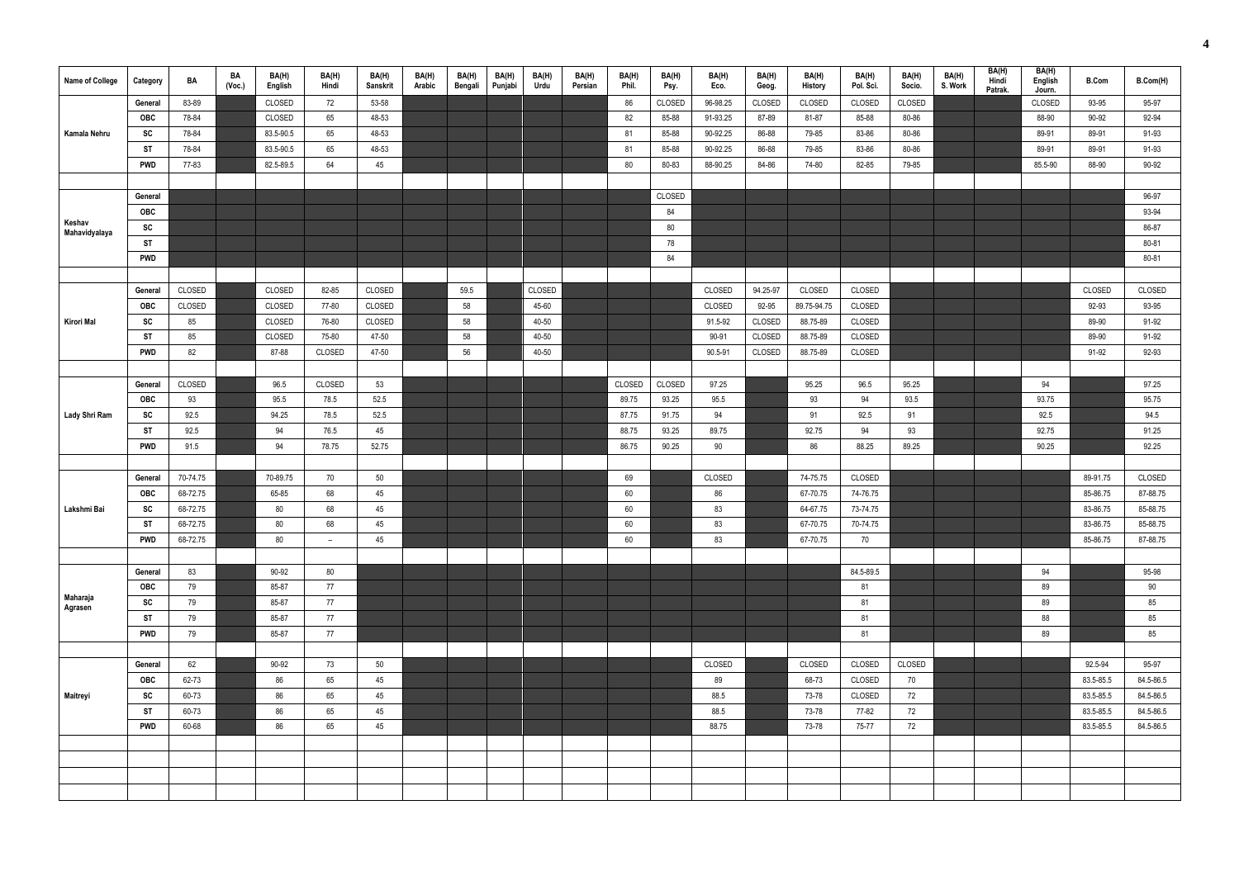| <b>Name of College</b>  | Category   | BA       | BA<br>(Vec.) | BA(H)<br>English | BA(H)<br>Hindi | BA(H)<br><b>Sanskrit</b> | BA(H)<br>Arabic | BA(H)<br>Bengali | BA(H)<br>Punjabi | BA(H)<br>Urdu | BA(H)<br>Persian | BA(H)<br>Phil. | BA(H)<br>Psy. | BA(H)<br>Eco. | BA(H)<br>Geog. | BA(H)<br>History | BA(H)<br>Pol. Sci. | BA(H)<br>Socio. | BA(H)<br>S. Work | BA(H)<br>Hindi<br>Patrak. | BA(H)<br>English<br>Journ. | <b>B.Com</b> | B.Com(H)  |
|-------------------------|------------|----------|--------------|------------------|----------------|--------------------------|-----------------|------------------|------------------|---------------|------------------|----------------|---------------|---------------|----------------|------------------|--------------------|-----------------|------------------|---------------------------|----------------------------|--------------|-----------|
|                         | General    | 83-89    |              | CLOSED           | 72             | 53-58                    |                 |                  |                  |               |                  | 86             | CLOSED        | 96-98.25      | CLOSED         | CLOSED           | CLOSED             | CLOSED          |                  |                           | CLOSED                     | 93-95        | 95-97     |
|                         | <b>OBC</b> | 78-84    |              | CLOSED           | 65             | 48-53                    |                 |                  |                  |               |                  | 82             | 85-88         | 91-93.25      | 87-89          | 81-87            | 85-88              | 80-86           |                  |                           | 88-90                      | 90-92        | 92-94     |
| Kamala Nehru            | SC         | 78-84    |              | 83.5-90.5        | 65             | 48-53                    |                 |                  |                  |               |                  | 81             | 85-88         | 90-92.25      | 86-88          | 79-85            | 83-86              | 80-86           |                  |                           | 89-91                      | 89-91        | 91-93     |
|                         | <b>ST</b>  | 78-84    |              | 83.5-90.5        | 65             | 48-53                    |                 |                  |                  |               |                  | 81             | 85-88         | 90-92.25      | 86-88          | 79-85            | 83-86              | 80-86           |                  |                           | 89-91                      | 89-91        | 91-93     |
|                         | <b>PWD</b> | 77-83    |              | 82.5-89.5        | 64             | 45                       |                 |                  |                  |               |                  | 80             | 80-83         | 88-90.25      | 84-86          | 74-80            | 82-85              | 79-85           |                  |                           | 85.5-90                    | 88-90        | 90-92     |
|                         |            |          |              |                  |                |                          |                 |                  |                  |               |                  |                |               |               |                |                  |                    |                 |                  |                           |                            |              |           |
|                         | General    |          |              |                  |                |                          |                 |                  |                  |               |                  |                | CLOSED        |               |                |                  |                    |                 |                  |                           |                            |              | 96-97     |
|                         | OBC        |          |              |                  |                |                          |                 |                  |                  |               |                  |                | 84            |               |                |                  |                    |                 |                  |                           |                            |              | 93-94     |
| Keshav<br>Mahavidyalaya | SC         |          |              |                  |                |                          |                 |                  |                  |               |                  |                | 80            |               |                |                  |                    |                 |                  |                           |                            |              | 86-87     |
|                         | <b>ST</b>  |          |              |                  |                |                          |                 |                  |                  |               |                  |                | 78            |               |                |                  |                    |                 |                  |                           |                            |              | 80-81     |
|                         | <b>PWD</b> |          |              |                  |                |                          |                 |                  |                  |               |                  |                | 84            |               |                |                  |                    |                 |                  |                           |                            |              | 80-81     |
|                         |            |          |              |                  |                |                          |                 |                  |                  |               |                  |                |               |               |                |                  |                    |                 |                  |                           |                            |              |           |
|                         | General    | CLOSED   |              | CLOSED           | 82-85          | CLOSED                   |                 | 59.5             |                  | CLOSED        |                  |                |               | CLOSED        | 94.25-97       | CLOSED           | CLOSED             |                 |                  |                           |                            | CLOSED       | CLOSED    |
|                         | <b>OBC</b> | CLOSED   |              | CLOSED           | 77-80          | CLOSED                   |                 | 58               |                  | 45-60         |                  |                |               | CLOSED        | 92-95          | 89.75-94.75      | CLOSED             |                 |                  |                           |                            | 92-93        | 93-95     |
| Kirori Mal              | SC         | 85       |              | CLOSED           | 76-80          | CLOSED                   |                 | 58               |                  | 40-50         |                  |                |               | 91.5-92       | CLOSED         | 88.75-89         | CLOSED             |                 |                  |                           |                            | 89-90        | 91-92     |
|                         | <b>ST</b>  | 85       |              | CLOSED           | 75-80          | 47-50                    |                 | 58               |                  | 40-50         |                  |                |               | 90-91         | CLOSED         | 88.75-89         | CLOSED             |                 |                  |                           |                            | 89-90        | 91-92     |
|                         | <b>PWD</b> | 82       |              | 87-88            | CLOSED         | 47-50                    |                 | 56               |                  | 40-50         |                  |                |               | 90.5-91       | CLOSED         | 88.75-89         | CLOSED             |                 |                  |                           |                            | 91-92        | 92-93     |
|                         |            |          |              |                  |                |                          |                 |                  |                  |               |                  |                |               |               |                |                  |                    |                 |                  |                           |                            |              |           |
|                         | General    | CLOSED   |              | 96.5             | CLOSED         | 53                       |                 |                  |                  |               |                  | CLOSED         | CLOSED        | 97.25         |                | 95.25            | 96.5               | 95.25           |                  |                           | 94                         |              | 97.25     |
|                         | <b>OBC</b> | 93       |              | 95.5             | 78.5           | 52.5                     |                 |                  |                  |               |                  | 89.75          | 93.25         | 95.5          |                | 93               | 94                 | 93.5            |                  |                           | 93.75                      |              | 95.75     |
| <b>Lady Shri Ram</b>    | SC         | 92.5     |              | 94.25            | 78.5           | 52.5                     |                 |                  |                  |               |                  | 87.75          | 91.75         | 94            |                | 91               | 92.5               | 91              |                  |                           | 92.5                       |              | 94.5      |
|                         | <b>ST</b>  | 92.5     |              | 94               | 76.5           | 45                       |                 |                  |                  |               |                  | 88.75          | 93.25         | 89.75         |                | 92.75            | 94                 | 93              |                  |                           | 92.75                      |              | 91.25     |
|                         | <b>PWD</b> | 91.5     |              | 94               | 78.75          | 52.75                    |                 |                  |                  |               |                  | 86.75          | 90.25         | 90            |                | 86               | 88.25              | 89.25           |                  |                           | 90.25                      |              | 92.25     |
|                         |            |          |              |                  |                |                          |                 |                  |                  |               |                  |                |               |               |                |                  |                    |                 |                  |                           |                            |              |           |
|                         | General    | 70-74.75 |              | 70-89.75         | 70             | 50                       |                 |                  |                  |               |                  | 69             |               | CLOSED        |                | 74-75.75         | CLOSED             |                 |                  |                           |                            | 89-91.75     | CLOSED    |
|                         | <b>OBC</b> | 68-72.75 |              | 65-85            | 68             | 45                       |                 |                  |                  |               |                  | 60             |               | 86            |                | 67-70.75         | 74-76.75           |                 |                  |                           |                            | 85-86.75     | 87-88.75  |
| Lakshmi Bai             | SC         | 68-72.75 |              | 80               | 68             | 45                       |                 |                  |                  |               |                  | 60             |               | 83            |                | 64-67.75         | 73-74.75           |                 |                  |                           |                            | 83-86.75     | 85-88.75  |
|                         | <b>ST</b>  | 68-72.75 |              | 80               | 68             | 45                       |                 |                  |                  |               |                  | 60             |               | 83            |                | 67-70.75         | 70-74.75           |                 |                  |                           |                            | 83-86.75     | 85-88.75  |
|                         | <b>PWD</b> | 68-72.75 |              | 80               | $ \,$          | 45                       |                 |                  |                  |               |                  | 60             |               | 83            |                | 67-70.75         | 70                 |                 |                  |                           |                            | 85-86.75     | 87-88.75  |
|                         |            |          |              |                  |                |                          |                 |                  |                  |               |                  |                |               |               |                |                  |                    |                 |                  |                           |                            |              |           |
|                         | General    | 83       |              | 90-92            | 80             |                          |                 |                  |                  |               |                  |                |               |               |                |                  | 84.5-89.5          |                 |                  |                           | 94                         |              | 95-98     |
|                         | OBC        | 79       |              | 85-87            | 77             |                          |                 |                  |                  |               |                  |                |               |               |                |                  | 81                 |                 |                  |                           | 89                         |              | 90        |
| Maharaja                | SC         | 79       |              | 85-87            | 77             |                          |                 |                  |                  |               |                  |                |               |               |                |                  | 81                 |                 |                  |                           | 89                         |              | 85        |
| Agrasen                 | <b>ST</b>  | 79       |              | 85-87            | 77             |                          |                 |                  |                  |               |                  |                |               |               |                |                  | 81                 |                 |                  |                           | 88                         |              | 85        |
|                         | <b>PWD</b> | 79       |              | 85-87            | 77             |                          |                 |                  |                  |               |                  |                |               |               |                |                  | 81                 |                 |                  |                           | 89                         |              | 85        |
|                         |            |          |              |                  |                |                          |                 |                  |                  |               |                  |                |               |               |                |                  |                    |                 |                  |                           |                            |              |           |
|                         | General    | 62       |              | 90-92            | 73             | 50                       |                 |                  |                  |               |                  |                |               | CLOSED        |                | CLOSED           | CLOSED             | CLOSED          |                  |                           |                            | 92.5-94      | 95-97     |
|                         | OBC        | 62-73    |              | 86               | 65             | 45                       |                 |                  |                  |               |                  |                |               | 89            |                | 68-73            | CLOSED             | 70              |                  |                           |                            | 83.5-85.5    | 84.5-86.5 |
| Maitreyi                | SC         | 60-73    |              | 86               | 65             | 45                       |                 |                  |                  |               |                  |                |               | 88.5          |                | 73-78            | CLOSED             | 72              |                  |                           |                            | 83.5-85.5    | 84.5-86.5 |
|                         | <b>ST</b>  | 60-73    |              | 86               | 65             | 45                       |                 |                  |                  |               |                  |                |               | 88.5          |                | 73-78            | 77-82              | 72              |                  |                           |                            | 83.5-85.5    | 84.5-86.5 |
|                         | PWD        | 60-68    |              | 86               | 65             | 45                       |                 |                  |                  |               |                  |                |               | 88.75         |                | 73-78            | 75-77              | 72              |                  |                           |                            | 83.5-85.5    | 84.5-86.5 |
|                         |            |          |              |                  |                |                          |                 |                  |                  |               |                  |                |               |               |                |                  |                    |                 |                  |                           |                            |              |           |
|                         |            |          |              |                  |                |                          |                 |                  |                  |               |                  |                |               |               |                |                  |                    |                 |                  |                           |                            |              |           |
|                         |            |          |              |                  |                |                          |                 |                  |                  |               |                  |                |               |               |                |                  |                    |                 |                  |                           |                            |              |           |
|                         |            |          |              |                  |                |                          |                 |                  |                  |               |                  |                |               |               |                |                  |                    |                 |                  |                           |                            |              |           |
|                         |            |          |              |                  |                |                          |                 |                  |                  |               |                  |                |               |               |                |                  |                    |                 |                  |                           |                            |              |           |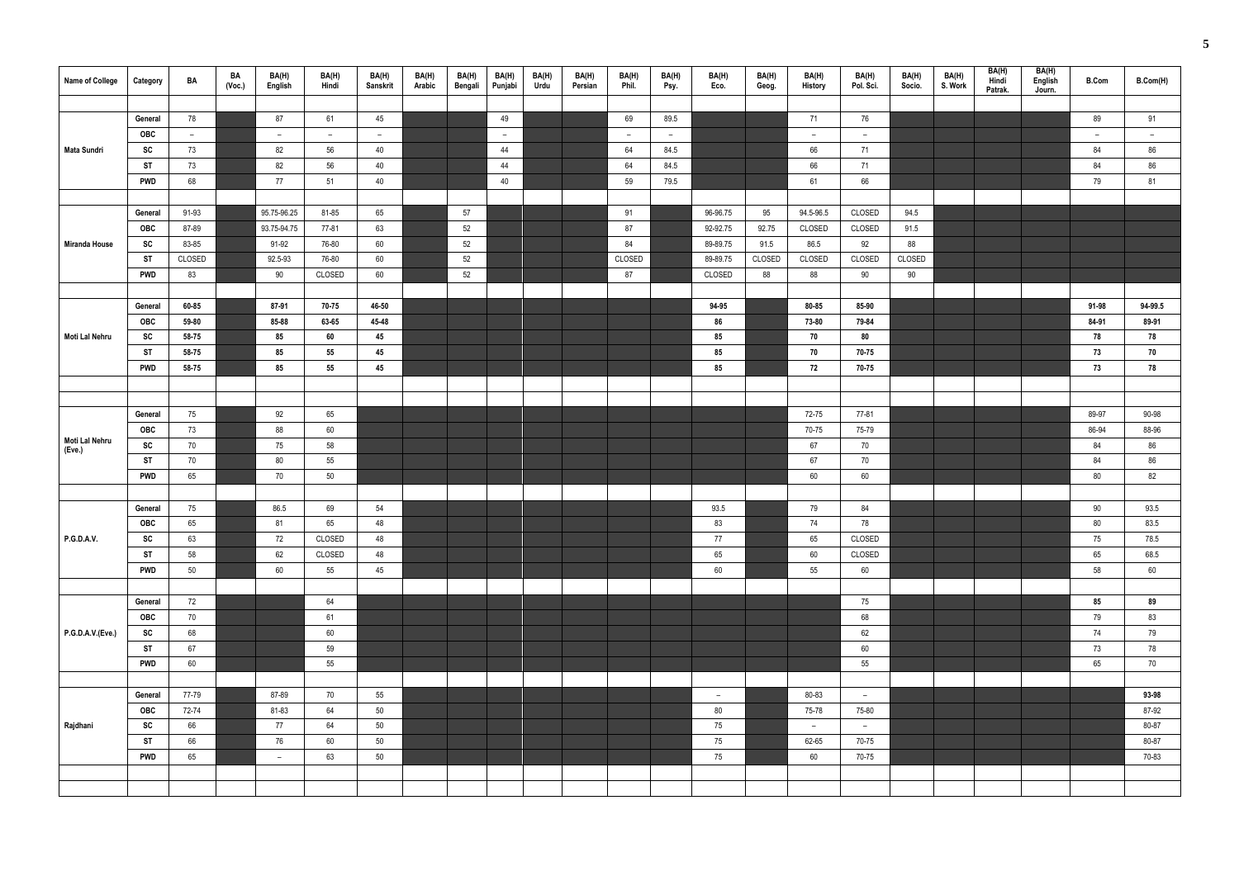| <b>Name of College</b> | Category       | BA       | BA<br>(Voc.) | BA(H)<br>English | BA(H)<br>Hindi | BA(H)<br>Sanskrit | BA(H)<br>Arabic | BA(H)<br>Bengali | BA(H)<br>Punjabi | BA(H)<br>Urdu | BA(H)<br>Persian | BA(H)<br>Phil. | BA(H)<br>Psy. | BA(H)<br>Eco. | BA(H)<br>Geog. | BA(H)<br>History | BA(H)<br>Pol. Sci. | BA(H)<br>Socio. | BA(H)<br>S. Work | BA(H)<br>Hindi<br>Patrak. | BA(H)<br>English<br>Journ. | <b>B.Com</b> | B.Com(H) |
|------------------------|----------------|----------|--------------|------------------|----------------|-------------------|-----------------|------------------|------------------|---------------|------------------|----------------|---------------|---------------|----------------|------------------|--------------------|-----------------|------------------|---------------------------|----------------------------|--------------|----------|
|                        |                |          |              |                  |                |                   |                 |                  |                  |               |                  |                |               |               |                |                  |                    |                 |                  |                           |                            |              |          |
|                        | General        | 78       |              | 87               | 61             | 45                |                 |                  | 49               |               |                  | 69             | 89.5          |               |                | 71               | 76                 |                 |                  |                           |                            | 89           | 91       |
|                        | OBC            | $\sim$   |              | $\overline{a}$   | $ \,$          | $\sim$            |                 |                  | $\overline{a}$   |               |                  | $\sim$         | $\sim$        |               |                | $ \,$            | $\sim$             |                 |                  |                           |                            | $ \,$        | $ \,$    |
| Mata Sundri            | SC             | 73       |              | 82               | 56             | 40                |                 |                  | 44               |               |                  | 64             | 84.5          |               |                | 66               | 71                 |                 |                  |                           |                            | 84           | 86       |
|                        | <b>ST</b>      | 73       |              | 82               | 56             | 40                |                 |                  | 44               |               |                  | 64             | 84.5          |               |                | 66               | 71                 |                 |                  |                           |                            | 84           | 86       |
|                        | <b>PWD</b>     | 68       |              | 77               | 51             | 40                |                 |                  | 40               |               |                  | 59             | 79.5          |               |                | 61               | 66                 |                 |                  |                           |                            | 79           | 81       |
|                        |                |          |              |                  |                |                   |                 |                  |                  |               |                  |                |               |               |                |                  |                    |                 |                  |                           |                            |              |          |
|                        | General        | 91-93    |              | 95.75-96.25      | 81-85          | 65                |                 | 57               |                  |               |                  | 91             |               | 96-96.75      | 95             | 94.5-96.5        | CLOSED             | 94.5            |                  |                           |                            |              |          |
|                        | OBC            | 87-89    |              | 93.75-94.75      | 77-81          | 63                |                 | 52               |                  |               |                  | 87             |               | 92-92.75      | 92.75          | CLOSED           | CLOSED             | 91.5            |                  |                           |                            |              |          |
| Miranda House          | SC             | 83-85    |              | 91-92            | 76-80          | 60                |                 | 52               |                  |               |                  | 84             |               | 89-89.75      | 91.5           | 86.5             | 92                 | 88              |                  |                           |                            |              |          |
|                        | <b>ST</b>      | CLOSED   |              | 92.5-93          | 76-80          | 60                |                 | 52               |                  |               |                  | CLOSED         |               | 89-89.75      | CLOSED         | CLOSED           | CLOSED             | CLOSED          |                  |                           |                            |              |          |
|                        | <b>PWD</b>     | 83       |              | 90               | CLOSED         | 60                |                 | 52               |                  |               |                  | 87             |               | CLOSED        | 88             | 88               | 90                 | 90              |                  |                           |                            |              |          |
|                        |                |          |              |                  |                |                   |                 |                  |                  |               |                  |                |               |               |                |                  |                    |                 |                  |                           |                            |              |          |
|                        | General        | 60-85    |              | 87-91            | 70-75          | 46-50             |                 |                  |                  |               |                  |                |               | 94-95         |                | 80-85            | 85-90              |                 |                  |                           |                            | 91-98        | 94-99.5  |
|                        | OBC            | 59-80    |              | 85-88            | 63-65          | 45-48             |                 |                  |                  |               |                  |                |               | 86            |                | 73-80            | 79-84              |                 |                  |                           |                            | 84-91        | 89-91    |
| Moti Lal Nehru         | SC             | 58-75    |              | 85               | 60             | 45                |                 |                  |                  |               |                  |                |               | 85            |                | 70               | 80                 |                 |                  |                           |                            | 78           | 78       |
|                        | <b>ST</b>      | 58-75    |              | 85               | 55             | 45                |                 |                  |                  |               |                  |                |               | 85            |                | 70               | 70-75              |                 |                  |                           |                            | 73           | 70       |
|                        | <b>PWD</b>     | 58-75    |              | 85               | 55             | 45                |                 |                  |                  |               |                  |                |               | 85            |                | 72               | 70-75              |                 |                  |                           |                            | 73           | 78       |
|                        |                |          |              |                  |                |                   |                 |                  |                  |               |                  |                |               |               |                |                  |                    |                 |                  |                           |                            |              |          |
|                        |                |          |              |                  |                |                   |                 |                  |                  |               |                  |                |               |               |                |                  |                    |                 |                  |                           |                            |              |          |
|                        | General        | 75       |              | 92               | 65             |                   |                 |                  |                  |               |                  |                |               |               |                | 72-75            | 77-81              |                 |                  |                           |                            | 89-97        | 90-98    |
| Moti Lal Nehru         | OBC            | 73       |              | 88               | 60             |                   |                 |                  |                  |               |                  |                |               |               |                | 70-75            | 75-79              |                 |                  |                           |                            | 86-94        | 88-96    |
| (Eve.)                 | SC             | 70       |              | 75               | 58             |                   |                 |                  |                  |               |                  |                |               |               |                | 67               | 70                 |                 |                  |                           |                            | 84           | 86       |
|                        | <b>ST</b>      | 70       |              | 80               | 55             |                   |                 |                  |                  |               |                  |                |               |               |                | 67               | 70                 |                 |                  |                           |                            | 84           | 86       |
|                        | <b>PWD</b>     | 65       |              | 70               | 50             |                   |                 |                  |                  |               |                  |                |               |               |                | 60               | 60                 |                 |                  |                           |                            | 80           | 82       |
|                        |                |          |              |                  |                |                   |                 |                  |                  |               |                  |                |               |               |                |                  |                    |                 |                  |                           |                            |              |          |
|                        | General        | 75       |              | 86.5             | 69             | 54                |                 |                  |                  |               |                  |                |               | 93.5          |                | 79               | 84                 |                 |                  |                           |                            | 90           | 93.5     |
|                        | OBC            | 65       |              | 81               | 65             | 48                |                 |                  |                  |               |                  |                |               | 83            |                | 74               | 78                 |                 |                  |                           |                            | 80           | 83.5     |
| P.G.D.A.V.             | SC             | 63       |              | 72               | CLOSED         | 48                |                 |                  |                  |               |                  |                |               | 77            |                | 65               | CLOSED             |                 |                  |                           |                            | 75           | 78.5     |
|                        | <b>ST</b>      | 58       |              | 62               | CLOSED         | 48                |                 |                  |                  |               |                  |                |               | 65            |                | 60               | CLOSED             |                 |                  |                           |                            | 65           | 68.5     |
|                        | <b>PWD</b>     | 50       |              | 60               | 55             | 45                |                 |                  |                  |               |                  |                |               | 60            |                | 55               | 60                 |                 |                  |                           |                            | 58           | 60       |
|                        |                |          |              |                  |                |                   |                 |                  |                  |               |                  |                |               |               |                |                  |                    |                 |                  |                           |                            |              |          |
|                        | General<br>OBC | 72<br>70 |              |                  | 64<br>61       |                   |                 |                  |                  |               |                  |                |               |               |                |                  | 75<br>68           |                 |                  |                           |                            | 85<br>79     | 89<br>83 |
| P.G.D.A.V.(Eve.)       | SC             | 68       |              |                  | 60             |                   |                 |                  |                  |               |                  |                |               |               |                |                  | 62                 |                 |                  |                           |                            | 74           | 79       |
|                        | <b>ST</b>      | 67       |              |                  | 59             |                   |                 |                  |                  |               |                  |                |               |               |                |                  | 60                 |                 |                  |                           |                            | 73           | 78       |
|                        | <b>PWD</b>     | 60       |              |                  | $55\,$         |                   |                 |                  |                  |               |                  |                |               |               |                |                  | 55                 |                 |                  |                           |                            | 65           | 70       |
|                        |                |          |              |                  |                |                   |                 |                  |                  |               |                  |                |               |               |                |                  |                    |                 |                  |                           |                            |              |          |
|                        | General        | 77-79    |              | 87-89            | 70             | 55                |                 |                  |                  |               |                  |                |               | $\sim$        |                | 80-83            | $\sim$             |                 |                  |                           |                            |              | 93-98    |
|                        | OBC            | 72-74    |              | 81-83            | 64             | 50                |                 |                  |                  |               |                  |                |               | 80            |                | 75-78            | 75-80              |                 |                  |                           |                            |              | 87-92    |
| Rajdhani               | SC             | 66       |              | 77               | 64             | 50                |                 |                  |                  |               |                  |                |               | 75            |                | $ \,$            | $-$                |                 |                  |                           |                            |              | 80-87    |
|                        | <b>ST</b>      | 66       |              | 76               | 60             | 50                |                 |                  |                  |               |                  |                |               | 75            |                | 62-65            | 70-75              |                 |                  |                           |                            |              | 80-87    |
|                        | <b>PWD</b>     | 65       |              | $\sim$           | 63             | $50\,$            |                 |                  |                  |               |                  |                |               | 75            |                | 60               | 70-75              |                 |                  |                           |                            |              | 70-83    |
|                        |                |          |              |                  |                |                   |                 |                  |                  |               |                  |                |               |               |                |                  |                    |                 |                  |                           |                            |              |          |
|                        |                |          |              |                  |                |                   |                 |                  |                  |               |                  |                |               |               |                |                  |                    |                 |                  |                           |                            |              |          |
|                        |                |          |              |                  |                |                   |                 |                  |                  |               |                  |                |               |               |                |                  |                    |                 |                  |                           |                            |              |          |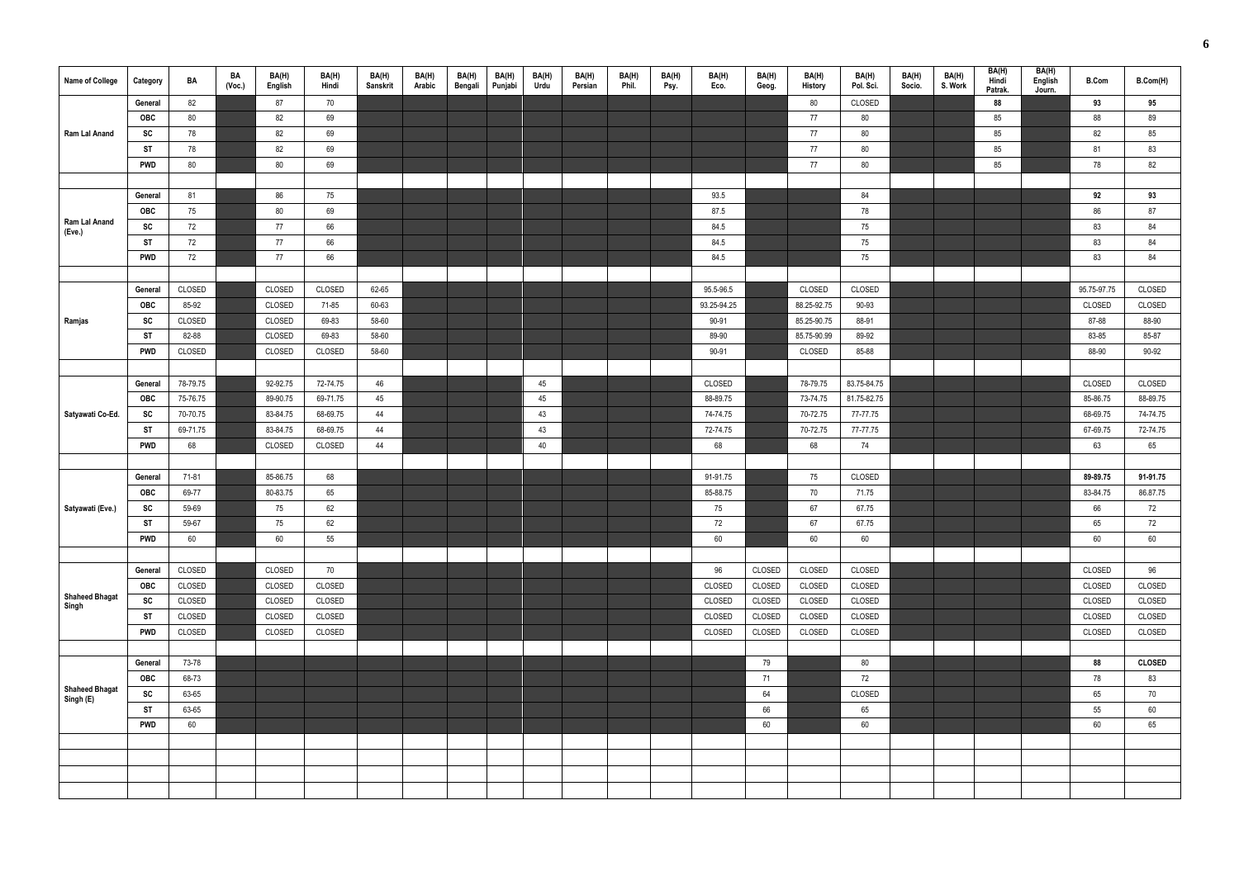| Name of College                    | Category   | BA       | BA<br>(Voc.) | BA(H)<br>English | BA(H)<br>Hindi | BA(H)<br>Sanskrit | BA(H)<br>Arabic | BA(H)<br>Bengali | BA(H)<br>Punjabi | BA(H)<br>Urdu | BA(H)<br>Persian | BA(H)<br>Phil. | BA(H)<br>Psy. | BA(H)<br>Eco. | BA(H)<br>Geog. | BA(H)<br><b>History</b> | BA(H)<br>Pol. Sci. | BA(H)<br>Socio. | BA(H)<br>S. Work | BA(H)<br>Hindi<br>Patrak. | BA(H)<br>English<br>Journ. | <b>B.Com</b> | B.Com(H)      |
|------------------------------------|------------|----------|--------------|------------------|----------------|-------------------|-----------------|------------------|------------------|---------------|------------------|----------------|---------------|---------------|----------------|-------------------------|--------------------|-----------------|------------------|---------------------------|----------------------------|--------------|---------------|
|                                    | General    | 82       |              | 87               | 70             |                   |                 |                  |                  |               |                  |                |               |               |                | 80                      | CLOSED             |                 |                  | 88                        |                            | 93           | 95            |
|                                    | <b>OBC</b> | 80       |              | 82               | 69             |                   |                 |                  |                  |               |                  |                |               |               |                | 77                      | 80                 |                 |                  | 85                        |                            | 88           | 89            |
| Ram Lal Anand                      | SC         | 78       |              | 82               | 69             |                   |                 |                  |                  |               |                  |                |               |               |                | 77                      | 80                 |                 |                  | 85                        |                            | 82           | 85            |
|                                    | ST         | 78       |              | 82               | 69             |                   |                 |                  |                  |               |                  |                |               |               |                | 77                      | 80                 |                 |                  | 85                        |                            | 81           | 83            |
|                                    | <b>PWD</b> | 80       |              | $80\,$           | 69             |                   |                 |                  |                  |               |                  |                |               |               |                | 77                      | $80\,$             |                 |                  | 85                        |                            | 78           | 82            |
|                                    |            |          |              |                  |                |                   |                 |                  |                  |               |                  |                |               |               |                |                         |                    |                 |                  |                           |                            |              |               |
|                                    | General    | 81       |              | 86               | 75             |                   |                 |                  |                  |               |                  |                |               | 93.5          |                |                         | 84                 |                 |                  |                           |                            | 92           | 93            |
|                                    | <b>OBC</b> | 75       |              | 80               | 69             |                   |                 |                  |                  |               |                  |                |               | 87.5          |                |                         | 78                 |                 |                  |                           |                            | 86           | 87            |
| Ram Lal Anand<br>(Eve.)            | SC         | 72       |              | 77               | 66             |                   |                 |                  |                  |               |                  |                |               | 84.5          |                |                         | 75                 |                 |                  |                           |                            | 83           | 84            |
|                                    | <b>ST</b>  | 72       |              | 77               | 66             |                   |                 |                  |                  |               |                  |                |               | 84.5          |                |                         | 75                 |                 |                  |                           |                            | 83           | 84            |
|                                    | <b>PWD</b> | 72       |              | 77               | 66             |                   |                 |                  |                  |               |                  |                |               | 84.5          |                |                         | 75                 |                 |                  |                           |                            | 83           | 84            |
|                                    |            |          |              |                  |                |                   |                 |                  |                  |               |                  |                |               |               |                |                         |                    |                 |                  |                           |                            |              |               |
|                                    | General    | CLOSED   |              | CLOSED           | CLOSED         | 62-65             |                 |                  |                  |               |                  |                |               | 95.5-96.5     |                | CLOSED                  | CLOSED             |                 |                  |                           |                            | 95.75-97.75  | CLOSED        |
|                                    | <b>OBC</b> | 85-92    |              | CLOSED           | 71-85          | 60-63             |                 |                  |                  |               |                  |                |               | 93.25-94.25   |                | 88.25-92.75             | 90-93              |                 |                  |                           |                            | CLOSED       | CLOSED        |
| Ramjas                             | SC         | CLOSED   |              | CLOSED           | 69-83          | 58-60             |                 |                  |                  |               |                  |                |               | 90-91         |                | 85.25-90.75             | 88-91              |                 |                  |                           |                            | 87-88        | 88-90         |
|                                    | ST         | 82-88    |              | CLOSED           | 69-83          | 58-60             |                 |                  |                  |               |                  |                |               | 89-90         |                | 85.75-90.99             | 89-92              |                 |                  |                           |                            | 83-85        | 85-87         |
|                                    | <b>PWD</b> | CLOSED   |              | CLOSED           | CLOSED         | 58-60             |                 |                  |                  |               |                  |                |               | 90-91         |                | CLOSED                  | 85-88              |                 |                  |                           |                            | 88-90        | 90-92         |
|                                    |            |          |              |                  |                |                   |                 |                  |                  |               |                  |                |               |               |                |                         |                    |                 |                  |                           |                            |              |               |
|                                    | General    | 78-79.75 |              | 92-92.75         | 72-74.75       | 46                |                 |                  |                  | 45            |                  |                |               | CLOSED        |                | 78-79.75                | 83.75-84.75        |                 |                  |                           |                            | CLOSED       | CLOSED        |
|                                    | <b>OBC</b> | 75-76.75 |              | 89-90.75         | 69-71.75       | 45                |                 |                  |                  | 45            |                  |                |               | 88-89.75      |                | 73-74.75                | 81.75-82.75        |                 |                  |                           |                            | 85-86.75     | 88-89.75      |
| Satyawati Co-Ed.                   | SC         | 70-70.75 |              | 83-84.75         | 68-69.75       | 44                |                 |                  |                  | 43            |                  |                |               | 74-74.75      |                | 70-72.75                | 77-77.75           |                 |                  |                           |                            | 68-69.75     | 74-74.75      |
|                                    | <b>ST</b>  | 69-71.75 |              | 83-84.75         | 68-69.75       | 44                |                 |                  |                  | 43            |                  |                |               | 72-74.75      |                | 70-72.75                | 77-77.75           |                 |                  |                           |                            | 67-69.75     | 72-74.75      |
|                                    | <b>PWD</b> | 68       |              | CLOSED           | CLOSED         | 44                |                 |                  |                  | 40            |                  |                |               | 68            |                | 68                      | 74                 |                 |                  |                           |                            | 63           | 65            |
|                                    |            |          |              |                  |                |                   |                 |                  |                  |               |                  |                |               |               |                |                         |                    |                 |                  |                           |                            |              |               |
|                                    | General    | 71-81    |              | 85-86.75         | 68             |                   |                 |                  |                  |               |                  |                |               | 91-91.75      |                | 75                      | CLOSED             |                 |                  |                           |                            | 89-89.75     | 91-91.75      |
|                                    | <b>OBC</b> | 69-77    |              | 80-83.75         | 65             |                   |                 |                  |                  |               |                  |                |               | 85-88.75      |                | 70                      | 71.75              |                 |                  |                           |                            | 83-84.75     | 86.87.75      |
| Satyawati (Eve.)                   | SC         | 59-69    |              | 75               | 62             |                   |                 |                  |                  |               |                  |                |               | 75            |                | 67                      | 67.75              |                 |                  |                           |                            | 66           | 72            |
|                                    | <b>ST</b>  | 59-67    |              | 75               | 62             |                   |                 |                  |                  |               |                  |                |               | 72            |                | 67                      | 67.75              |                 |                  |                           |                            | 65           | 72            |
|                                    | <b>PWD</b> | 60       |              | 60               | 55             |                   |                 |                  |                  |               |                  |                |               | $60\,$        |                | $60\,$                  | 60                 |                 |                  |                           |                            | $60\,$       | 60            |
|                                    |            |          |              |                  |                |                   |                 |                  |                  |               |                  |                |               |               |                |                         |                    |                 |                  |                           |                            |              |               |
|                                    | General    | CLOSED   |              | CLOSED           | 70             |                   |                 |                  |                  |               |                  |                |               | 96            | CLOSED         | CLOSED                  | CLOSED             |                 |                  |                           |                            | CLOSED       | 96            |
| <b>Shaheed Bhagat</b>              | <b>OBC</b> | CLOSED   |              | CLOSED           | CLOSED         |                   |                 |                  |                  |               |                  |                |               | CLOSED        | CLOSED         | CLOSED                  | CLOSED             |                 |                  |                           |                            | CLOSED       | CLOSED        |
| Singh                              | SC         | CLOSED   |              | CLOSED           | CLOSED         |                   |                 |                  |                  |               |                  |                |               | CLOSED        | CLOSED         | CLOSED                  | CLOSED             |                 |                  |                           |                            | CLOSED       | CLOSED        |
|                                    | <b>ST</b>  | CLOSED   |              | CLOSED           | CLOSED         |                   |                 |                  |                  |               |                  |                |               | CLOSED        | CLOSED         | CLOSED                  | CLOSED             |                 |                  |                           |                            | CLOSED       | CLOSED        |
|                                    | <b>PWD</b> | CLOSED   |              | CLOSED           | CLOSED         |                   |                 |                  |                  |               |                  |                |               | CLOSED        | CLOSED         | CLOSED                  | CLOSED             |                 |                  |                           |                            | CLOSED       | CLOSED        |
|                                    |            |          |              |                  |                |                   |                 |                  |                  |               |                  |                |               |               |                |                         |                    |                 |                  |                           |                            |              |               |
|                                    | General    | 73-78    |              |                  |                |                   |                 |                  |                  |               |                  |                |               |               | 79             |                         | 80                 |                 |                  |                           |                            | 88           | <b>CLOSED</b> |
|                                    | <b>OBC</b> | 68-73    |              |                  |                |                   |                 |                  |                  |               |                  |                |               |               | 71             |                         | 72                 |                 |                  |                           |                            | 78           | 83            |
| <b>Shaheed Bhagat</b><br>Singh (E) | SC         | 63-65    |              |                  |                |                   |                 |                  |                  |               |                  |                |               |               | 64             |                         | CLOSED             |                 |                  |                           |                            | 65           | 70            |
|                                    | <b>ST</b>  | 63-65    |              |                  |                |                   |                 |                  |                  |               |                  |                |               |               | 66             |                         | 65                 |                 |                  |                           |                            | 55           | 60            |
|                                    | <b>PWD</b> | 60       |              |                  |                |                   |                 |                  |                  |               |                  |                |               |               | $60\,$         |                         | 60                 |                 |                  |                           |                            | 60           | 65            |
|                                    |            |          |              |                  |                |                   |                 |                  |                  |               |                  |                |               |               |                |                         |                    |                 |                  |                           |                            |              |               |
|                                    |            |          |              |                  |                |                   |                 |                  |                  |               |                  |                |               |               |                |                         |                    |                 |                  |                           |                            |              |               |
|                                    |            |          |              |                  |                |                   |                 |                  |                  |               |                  |                |               |               |                |                         |                    |                 |                  |                           |                            |              |               |
|                                    |            |          |              |                  |                |                   |                 |                  |                  |               |                  |                |               |               |                |                         |                    |                 |                  |                           |                            |              |               |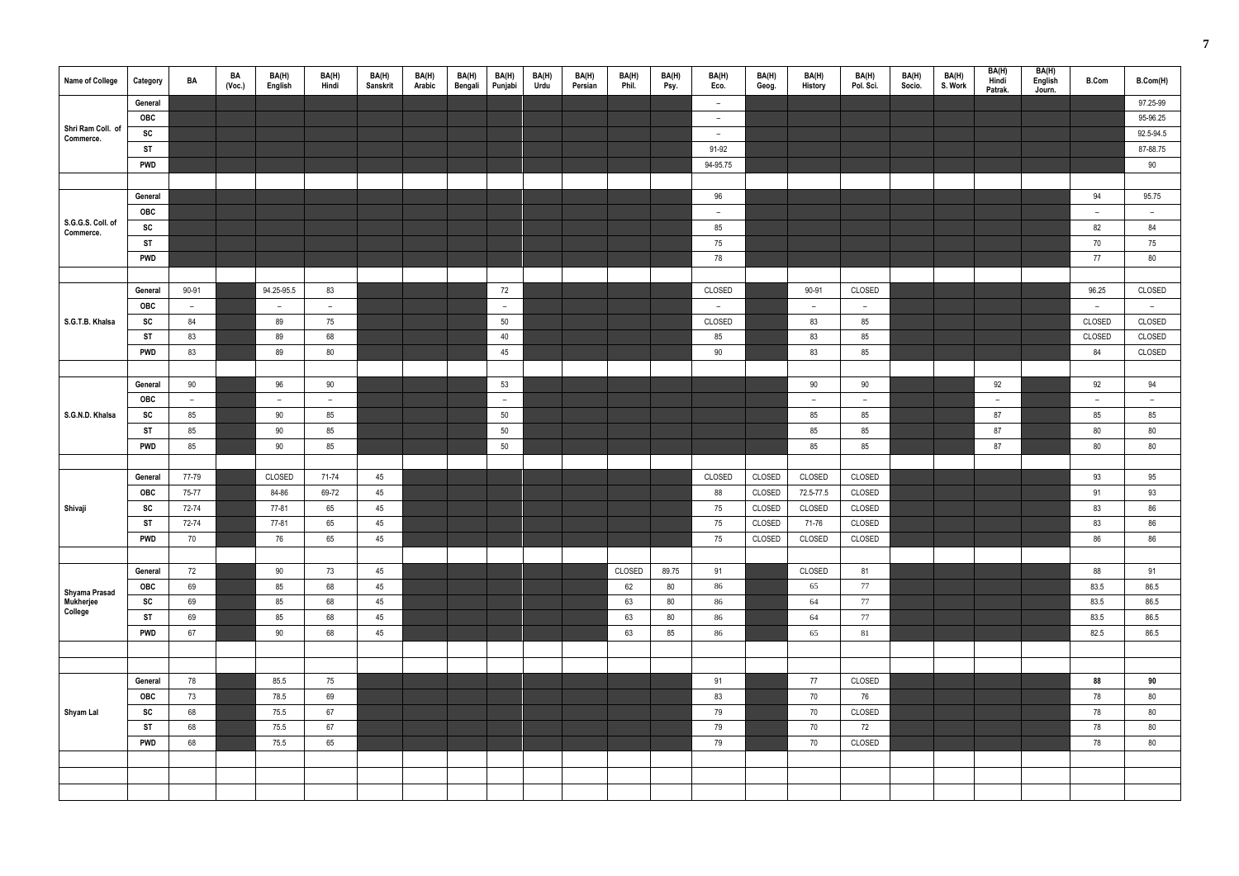| <b>Name of College</b> | Category   | BA     | BA<br>(Vec.) | BA(H)<br>English | BA(H)<br>Hindi | BA(H)<br>Sanskrit | BA(H)<br>Arabic | BA(H)<br>Bengali | BA(H)<br>Punjabi | BA(H)<br>Urdu | BA(H)<br>Persian | BA(H)<br>Phil. | BA(H)<br>Psy. | BA(H)<br>Eco. | BA(H)<br>Geog. | BA(H)<br>History | BA(H)<br>Pol. Sci.       | BA(H)<br>Socio. | BA(H)<br>S. Work | BA(H)<br>Hindi<br>Patrak. | BA(H)<br>English<br>Journ. | <b>B.Com</b>             | B.Com(H)  |
|------------------------|------------|--------|--------------|------------------|----------------|-------------------|-----------------|------------------|------------------|---------------|------------------|----------------|---------------|---------------|----------------|------------------|--------------------------|-----------------|------------------|---------------------------|----------------------------|--------------------------|-----------|
|                        | General    |        |              |                  |                |                   |                 |                  |                  |               |                  |                |               | $-$           |                |                  |                          |                 |                  |                           |                            |                          | 97.25-99  |
| Shri Ram Coll. of      | OBC        |        |              |                  |                |                   |                 |                  |                  |               |                  |                |               | $ \,$         |                |                  |                          |                 |                  |                           |                            |                          | 95-96.25  |
| Commerce.              | SC         |        |              |                  |                |                   |                 |                  |                  |               |                  |                |               | $ \,$         |                |                  |                          |                 |                  |                           |                            |                          | 92.5-94.5 |
|                        | <b>ST</b>  |        |              |                  |                |                   |                 |                  |                  |               |                  |                |               | 91-92         |                |                  |                          |                 |                  |                           |                            |                          | 87-88.75  |
|                        | <b>PWD</b> |        |              |                  |                |                   |                 |                  |                  |               |                  |                |               | 94-95.75      |                |                  |                          |                 |                  |                           |                            |                          | 90        |
|                        |            |        |              |                  |                |                   |                 |                  |                  |               |                  |                |               |               |                |                  |                          |                 |                  |                           |                            |                          |           |
|                        | General    |        |              |                  |                |                   |                 |                  |                  |               |                  |                |               | 96            |                |                  |                          |                 |                  |                           |                            | 94                       | 95.75     |
| S.G.G.S. Coll. of      | OBC        |        |              |                  |                |                   |                 |                  |                  |               |                  |                |               | $-$           |                |                  |                          |                 |                  |                           |                            | $\overline{\phantom{a}}$ | $ \,$     |
| Commerce.              | SC         |        |              |                  |                |                   |                 |                  |                  |               |                  |                |               | 85            |                |                  |                          |                 |                  |                           |                            | 82                       | 84        |
|                        | <b>ST</b>  |        |              |                  |                |                   |                 |                  |                  |               |                  |                |               | 75            |                |                  |                          |                 |                  |                           |                            | 70                       | 75        |
|                        | <b>PWD</b> |        |              |                  |                |                   |                 |                  |                  |               |                  |                |               | 78            |                |                  |                          |                 |                  |                           |                            | 77                       | 80        |
|                        |            |        |              |                  |                |                   |                 |                  |                  |               |                  |                |               |               |                |                  |                          |                 |                  |                           |                            |                          |           |
|                        | General    | 90-91  |              | 94.25-95.5       | 83             |                   |                 |                  | 72               |               |                  |                |               | CLOSED        |                | 90-91            | CLOSED                   |                 |                  |                           |                            | 96.25                    | CLOSED    |
|                        | <b>OBC</b> | $\sim$ |              | $ \,$            | $ \,$          |                   |                 |                  | $ \,$            |               |                  |                |               | $-$           |                | $ \,$            | $ \,$                    |                 |                  |                           |                            | $\sim$                   | $ \,$     |
| S.G.T.B. Khalsa        | SC         | 84     |              | 89               | 75             |                   |                 |                  | 50               |               |                  |                |               | CLOSED        |                | 83               | 85                       |                 |                  |                           |                            | CLOSED                   | CLOSED    |
|                        | <b>ST</b>  | 83     |              | 89               | 68             |                   |                 |                  | 40               |               |                  |                |               | 85            |                | 83               | 85                       |                 |                  |                           |                            | CLOSED                   | CLOSED    |
|                        | <b>PWD</b> | 83     |              | 89               | 80             |                   |                 |                  | 45               |               |                  |                |               | 90            |                | 83               | 85                       |                 |                  |                           |                            | 84                       | CLOSED    |
|                        |            |        |              |                  |                |                   |                 |                  |                  |               |                  |                |               |               |                |                  |                          |                 |                  |                           |                            |                          |           |
|                        | General    | 90     |              | 96               | 90             |                   |                 |                  | 53               |               |                  |                |               |               |                | 90               | 90                       |                 |                  | 92                        |                            | 92                       | 94        |
|                        | <b>OBC</b> | $ \,$  |              | $ \,$            | $ \,$          |                   |                 |                  | $-$              |               |                  |                |               |               |                | $ \,$            | $\overline{\phantom{a}}$ |                 |                  | $ \,$                     |                            | $\overline{\phantom{m}}$ | $-$       |
| S.G.N.D. Khalsa        | SC         | 85     |              | 90               | 85             |                   |                 |                  | 50               |               |                  |                |               |               |                | 85               | 85                       |                 |                  | 87                        |                            | 85                       | 85        |
|                        | <b>ST</b>  | 85     |              | 90               | 85             |                   |                 |                  | 50               |               |                  |                |               |               |                | 85               | 85                       |                 |                  | 87                        |                            | 80                       | 80        |
|                        | <b>PWD</b> | 85     |              | 90               | 85             |                   |                 |                  | 50               |               |                  |                |               |               |                | 85               | 85                       |                 |                  | 87                        |                            | 80                       | 80        |
|                        |            |        |              |                  |                |                   |                 |                  |                  |               |                  |                |               |               |                |                  |                          |                 |                  |                           |                            |                          |           |
|                        | General    | 77-79  |              | CLOSED           | 71-74          | 45                |                 |                  |                  |               |                  |                |               | CLOSED        | CLOSED         | CLOSED           | CLOSED                   |                 |                  |                           |                            | 93                       | 95        |
|                        | OBC        | 75-77  |              | 84-86            | 69-72          | 45                |                 |                  |                  |               |                  |                |               | 88            | CLOSED         | 72.5-77.5        | CLOSED                   |                 |                  |                           |                            | 91                       | 93        |
| Shivaji                | <b>SC</b>  | 72-74  |              | 77-81            | 65             | 45                |                 |                  |                  |               |                  |                |               | 75            | CLOSED         | CLOSED           | CLOSED                   |                 |                  |                           |                            | 83                       | 86        |
|                        | <b>ST</b>  | 72-74  |              | 77-81            | 65             | 45                |                 |                  |                  |               |                  |                |               | 75            | CLOSED         | 71-76            | CLOSED                   |                 |                  |                           |                            | 83                       | 86        |
|                        | <b>PWD</b> | 70     |              | 76               | 65             | 45                |                 |                  |                  |               |                  |                |               | 75            | CLOSED         | CLOSED           | CLOSED                   |                 |                  |                           |                            | 86                       | 86        |
|                        |            |        |              |                  |                |                   |                 |                  |                  |               |                  |                |               |               |                |                  |                          |                 |                  |                           |                            |                          |           |
|                        | General    | 72     |              | 90               | 73             | 45                |                 |                  |                  |               |                  | CLOSED         | 89.75         | 91            |                | CLOSED           | 81                       |                 |                  |                           |                            | 88                       | 91        |
| Shyama Prasad          | OBC        | 69     |              | 85               | 68             | 45                |                 |                  |                  |               |                  | 62             | 80            | 86            |                | 65               | 77                       |                 |                  |                           |                            | 83.5                     | 86.5      |
| Mukherjee<br>College   | SC         | 69     |              | 85               | 68             | 45                |                 |                  |                  |               |                  | 63             | 80            | 86            |                | 64               | 77                       |                 |                  |                           |                            | 83.5                     | 86.5      |
|                        | <b>ST</b>  | 69     |              | 85               | 68             | 45                |                 |                  |                  |               |                  | 63             | 80            | 86            |                | 64               | 77                       |                 |                  |                           |                            | 83.5                     | 86.5      |
|                        | <b>PWD</b> | 67     |              | 90               | 68             | 45                |                 |                  |                  |               |                  | 63             | 85            | 86            |                | 65               | 81                       |                 |                  |                           |                            | 82.5                     | 86.5      |
|                        |            |        |              |                  |                |                   |                 |                  |                  |               |                  |                |               |               |                |                  |                          |                 |                  |                           |                            |                          |           |
|                        |            |        |              |                  |                |                   |                 |                  |                  |               |                  |                |               |               |                |                  |                          |                 |                  |                           |                            |                          |           |
|                        | General    | 78     |              | 85.5             | 75             |                   |                 |                  |                  |               |                  |                |               | 91            |                | 77               | CLOSED                   |                 |                  |                           |                            | 88                       | 90        |
|                        | OBC        | 73     |              | 78.5             | 69             |                   |                 |                  |                  |               |                  |                |               | 83            |                | 70               | 76                       |                 |                  |                           |                            | 78                       | 80        |
| Shyam Lal              | SC         | 68     |              | 75.5             | 67             |                   |                 |                  |                  |               |                  |                |               | 79            |                | 70               | CLOSED                   |                 |                  |                           |                            | 78                       | 80        |
|                        | ST         | 68     |              | 75.5             | 67             |                   |                 |                  |                  |               |                  |                |               | 79            |                | 70               | 72                       |                 |                  |                           |                            | 78                       | 80        |
|                        | <b>PWD</b> | 68     |              | 75.5             | 65             |                   |                 |                  |                  |               |                  |                |               | 79            |                | 70               | CLOSED                   |                 |                  |                           |                            | 78                       | 80        |
|                        |            |        |              |                  |                |                   |                 |                  |                  |               |                  |                |               |               |                |                  |                          |                 |                  |                           |                            |                          |           |
|                        |            |        |              |                  |                |                   |                 |                  |                  |               |                  |                |               |               |                |                  |                          |                 |                  |                           |                            |                          |           |
|                        |            |        |              |                  |                |                   |                 |                  |                  |               |                  |                |               |               |                |                  |                          |                 |                  |                           |                            |                          |           |